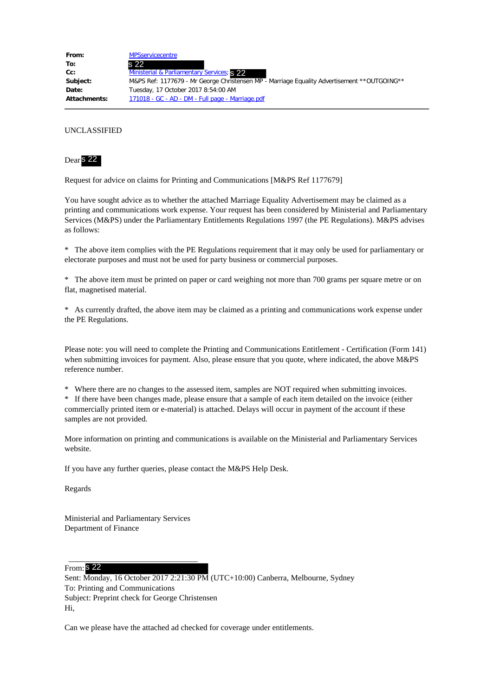| From:               | <b>MPSservicecentre</b>                                                                      |
|---------------------|----------------------------------------------------------------------------------------------|
| To:                 | s 22                                                                                         |
| Cc:                 | Ministerial & Parliamentary Services; S 22                                                   |
| Subject:            | M&PS Ref: 1177679 - Mr George Christensen MP - Marriage Equality Advertisement ** OUTGOING** |
| Date:               | Tuesday, 17 October 2017 8:54:00 AM                                                          |
| <b>Attachments:</b> | 171018 - GC - AD - DM - Full page - Marriage.pdf                                             |

## UNCLASSIFIED



Request for advice on claims for Printing and Communications [M&PS Ref 1177679]

You have sought advice as to whether the attached Marriage Equality Advertisement may be claimed as a printing and communications work expense. Your request has been considered by Ministerial and Parliamentary Services (M&PS) under the Parliamentary Entitlements Regulations 1997 (the PE Regulations). M&PS advises as follows:

\* The above item complies with the PE Regulations requirement that it may only be used for parliamentary or electorate purposes and must not be used for party business or commercial purposes.

\* The above item must be printed on paper or card weighing not more than 700 grams per square metre or on flat, magnetised material.

\* As currently drafted, the above item may be claimed as a printing and communications work expense under the PE Regulations.

Please note: you will need to complete the Printing and Communications Entitlement - Certification (Form 141) when submitting invoices for payment. Also, please ensure that you quote, where indicated, the above M&PS reference number.

\* Where there are no changes to the assessed item, samples are NOT required when submitting invoices.

\* If there have been changes made, please ensure that a sample of each item detailed on the invoice (either commercially printed item or e-material) is attached. Delays will occur in payment of the account if these samples are not provided.

More information on printing and communications is available on the Ministerial and Parliamentary Services website.

If you have any further queries, please contact the M&PS Help Desk.

Regards

Ministerial and Parliamentary Services Department of Finance

 $\overline{\phantom{a}}$  , and the set of the set of the set of the set of the set of the set of the set of the set of the set of the set of the set of the set of the set of the set of the set of the set of the set of the set of the s

From: s 22

Sent: Monday, 16 October 2017 2:21:30 PM (UTC+10:00) Canberra, Melbourne, Sydney To: Printing and Communications Subject: Preprint check for George Christensen Hi,

Can we please have the attached ad checked for coverage under entitlements.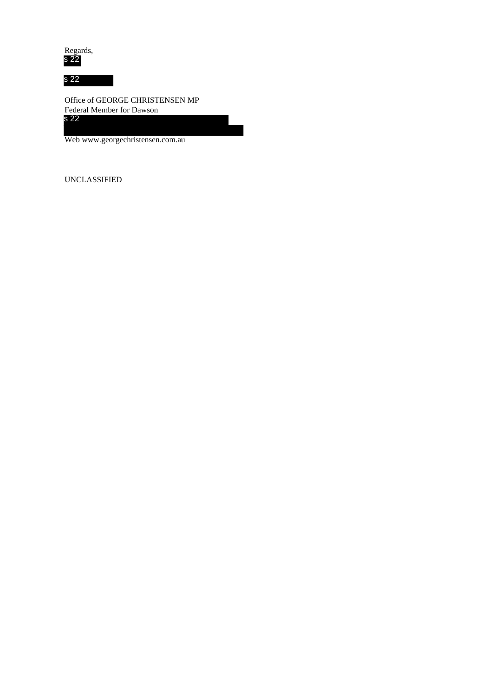Regards, s 22

s 22

Office of GEORGE CHRISTENSEN MP Federal Member for Dawson s 22

Web www.georgechristensen.com.au

UNCLASSIFIED